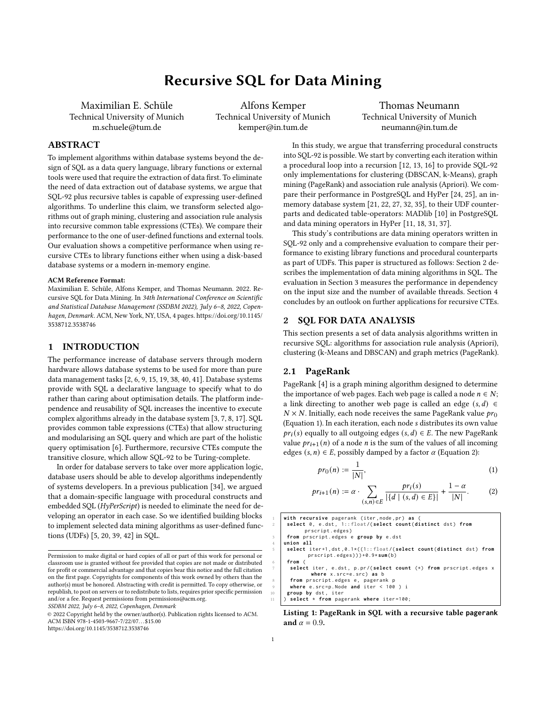# Recursive SQL for Data Mining

Maximilian E. Schüle Technical University of Munich m.schuele@tum.de

Alfons Kemper Technical University of Munich kemper@in.tum.de

Thomas Neumann Technical University of Munich neumann@in.tum.de

# ABSTRACT

To implement algorithms within database systems beyond the design of SQL as a data query language, library functions or external tools were used that require the extraction of data first. To eliminate the need of data extraction out of database systems, we argue that SQL-92 plus recursive tables is capable of expressing user-defined algorithms. To underline this claim, we transform selected algorithms out of graph mining, clustering and association rule analysis into recursive common table expressions (CTEs). We compare their performance to the one of user-defined functions and external tools. Our evaluation shows a competitive performance when using recursive CTEs to library functions either when using a disk-based database systems or a modern in-memory engine.

### ACM Reference Format:

Maximilian E. Schüle, Alfons Kemper, and Thomas Neumann. 2022. Recursive SQL for Data Mining. In 34th International Conference on Scientific and Statistical Database Management (SSDBM 2022), July 6–8, 2022, Copenhagen, Denmark. ACM, New York, NY, USA, [4](#page-3-0) pages. [https://doi.org/10.1145/](https://doi.org/10.1145/3538712.3538746) [3538712.3538746](https://doi.org/10.1145/3538712.3538746)

# 1 INTRODUCTION

The performance increase of database servers through modern hardware allows database systems to be used for more than pure data management tasks [\[2,](#page-3-1) [6,](#page-3-2) [9,](#page-3-3) [15,](#page-3-4) [19,](#page-3-5) [38,](#page-3-6) [40,](#page-3-7) [41\]](#page-3-8). Database systems provide with SQL a declarative language to specify what to do rather than caring about optimisation details. The platform independence and reusability of SQL increases the incentive to execute complex algorithms already in the database system [\[3,](#page-3-9) [7,](#page-3-10) [8,](#page-3-11) [17\]](#page-3-12). SQL provides common table expressions (CTEs) that allow structuring and modularising an SQL query and which are part of the holistic query optimisation [\[6\]](#page-3-2). Furthermore, recursive CTEs compute the transitive closure, which allow SQL-92 to be Turing-complete.

In order for database servers to take over more application logic, database users should be able to develop algorithms independently of systems developers. In a previous publication [\[34\]](#page-3-13), we argued that a domain-specific language with procedural constructs and embedded SQL (HyPerScript) is needed to eliminate the need for developing an operator in each case. So we identified building blocks to implement selected data mining algorithms as user-defined functions (UDFs) [\[5,](#page-3-14) [20,](#page-3-15) [39,](#page-3-16) [42\]](#page-3-17) in SQL.

SSDBM 2022, July 6–8, 2022, Copenhagen, Denmark

In this study, we argue that transferring procedural constructs into SQL-92 is possible. We start by converting each iteration within a procedural loop into a recursion [\[12,](#page-3-18) [13,](#page-3-19) [16\]](#page-3-20) to provide SQL-92 only implementations for clustering (DBSCAN, k-Means), graph mining (PageRank) and association rule analysis (Apriori). We compare their performance in PostgreSQL and HyPer [\[24,](#page-3-21) [25\]](#page-3-22), an inmemory database system [\[21,](#page-3-23) [22,](#page-3-24) [27,](#page-3-25) [32,](#page-3-26) [35\]](#page-3-27), to their UDF counterparts and dedicated table-operators: MADlib [\[10\]](#page-3-28) in PostgreSQL and data mining operators in HyPer [\[11,](#page-3-29) [18,](#page-3-30) [31,](#page-3-31) [37\]](#page-3-32).

This study's contributions are data mining operators written in SQL-92 only and a comprehensive evaluation to compare their performance to existing library functions and procedural counterparts as part of UDFs. This paper is structured as follows: Section [2](#page-0-0) describes the implementation of data mining algorithms in SQL. The evaluation in Section [3](#page-2-0) measures the performance in dependency on the input size and the number of available threads. Section [4](#page-3-33) concludes by an outlook on further applications for recursive CTEs.

## <span id="page-0-0"></span>2 SQL FOR DATA ANALYSIS

This section presents a set of data analysis algorithms written in recursive SQL: algorithms for association rule analysis (Apriori), clustering (k-Means and DBSCAN) and graph metrics (PageRank).

## 2.1 PageRank

PageRank [\[4\]](#page-3-34) is a graph mining algorithm designed to determine the importance of web pages. Each web page is called a node  $n \in N$ ; a link directing to another web page is called an edge  $(s, d) \in$  $N \times N$ . Initially, each node receives the same PageRank value  $pr_0$ [\(Equation 1\)](#page-0-1). In each iteration, each node s distributes its own value  $pr_i(s)$  equally to all outgoing edges  $(s, d) \in E$ . The new PageRank value  $pr_{i+1}(n)$  of a node *n* is the sum of the values of all incoming edges  $(s, n) \in E$ , possibly damped by a factor  $\alpha$  [\(Equation 2\)](#page-0-2):

<span id="page-0-2"></span><span id="page-0-1"></span>
$$
pr_0(n) := \frac{1}{|N|},\tag{1}
$$

$$
pr_{i+1}(n) := \alpha \cdot \sum_{(s,n) \in E} \frac{pr_i(s)}{| \{d \mid (s,d) \in E \} |} + \frac{1-\alpha}{|N|}.
$$
 (2)

```
with recursive pagerank (iter, node, pr) as (
      2 select 0 , e . dst , 1:: float /( select count ( distinct dst ) from
            prscript . edges )
      3 from prscript . edges e group by e . dst
     4 union all
5 select iter +1 , dst ,0.1*((1:: float /( select count ( distinct dst ) from
             prscript . edges ) ) ) +0.9* sum( b )
      6 from (
       7 select iter , e . dst , p . pr /( select count (*) from prscript . edges x
               where x.src=e.src) as b
8 from prscript edges e, pagerank p<br>9 where e src=p Node and iter < 100 ) i<br>10 group by dst, iter
       11 ) select * from pagerank where iter =100;
```
Listing 1: PageRank in SQL with a recursive table **pagerank** and  $\alpha = 0.9$ .

Permission to make digital or hard copies of all or part of this work for personal or classroom use is granted without fee provided that copies are not made or distributed for profit or commercial advantage and that copies bear this notice and the full citation on the first page. Copyrights for components of this work owned by others than the author(s) must be honored. Abstracting with credit is permitted. To copy otherwise, or republish, to post on servers or to redistribute to lists, requires prior specific permission and/or a fee. Request permissions from permissions@acm.org.

<sup>©</sup> 2022 Copyright held by the owner/author(s). Publication rights licensed to ACM. ACM ISBN 978-1-4503-9667-7/22/07. . . \$15.00 <https://doi.org/10.1145/3538712.3538746>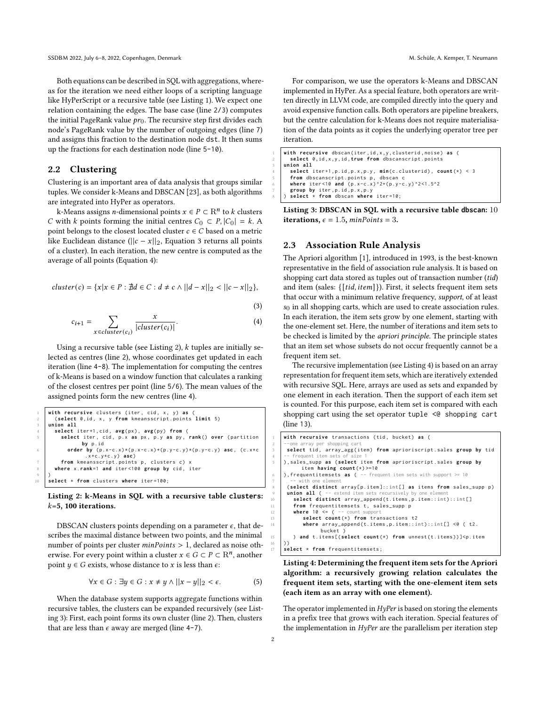Both equations can be described in SQL with aggregations, whereas for the iteration we need either loops of a scripting language like HyPerScript or a recursive table (see [Listing 1\)](#page-0-3). We expect one relation containing the edges. The base case (line 2/3) computes the initial PageRank value  $pr_0$ . The recursive step first divides each node's PageRank value by the number of outgoing edges (line 7) and assigns this fraction to the destination node dst. It then sums up the fractions for each destination node (line 5-10).

#### 2.2 Clustering

Clustering is an important area of data analysis that groups similar tuples. We consider k-Means and DBSCAN [\[23\]](#page-3-35), as both algorithms are integrated into HyPer as operators.

k-Means assigns *n*-dimensional points  $x \in P \subset \mathbf{R}^n$  to  $k$  clusters C with k points forming the initial centres  $C_0 \subset P$ ,  $|C_0| = k$ . A point belongs to the closest located cluster  $c \in C$  based on a metric like Euclidean distance ( $||c - x||_2$ , [Equation 3](#page-1-0) returns all points of a cluster). In each iteration, the new centre is computed as the average of all points [\(Equation 4\)](#page-1-1):

$$
cluster(c) = \{x | x \in P : \nexists d \in C : d \neq c \land ||d - x||_2 < ||c - x||_2\},
$$

<span id="page-1-1"></span><span id="page-1-0"></span>(3)

$$
c_{i+1} = \sum_{x \in cluster(c_i)} \frac{x}{|cluster(c_i)|}.
$$
 (4)

Using a recursive table (see [Listing 2\)](#page-1-2),  $k$  tuples are initially selected as centres (line 2), whose coordinates get updated in each iteration (line 4-8). The implementation for computing the centres of k-Means is based on a window function that calculates a ranking of the closest centres per point (line 5/6). The mean values of the assigned points form the new centres (line 4).

```
1 with recursive clusters ( iter , cid , x , y ) as (
2 ( select 0 , id , x , y from kmeansscript . points limit 5)
     3 union all
        4 select iter +1 , cid , avg( px ) , avg ( py ) from (
           select iter, cid, p.x as px, p.y as py, rank() over (partition
                     by p . id
               6 order by ( p .x - c . x ) *( p .x - c . x ) +( p .y - c . y ) *( p .y - c . y ) asc , ( c . x * c
                       . x + c . y * c . y ) asc )
 7 from kmeansscript . points p , clusters c ) x
8 where x . rank =1 and iter <100 group by cid , iter
 9 )
10 select * from clusters where iter =100;
```
## Listing 2: k-Means in SQL with a recursive table **clusters**:  $k=5$ , 100 iterations.

DBSCAN clusters points depending on a parameter  $\epsilon$ , that describes the maximal distance between two points, and the minimal number of points per cluster  $minPoints > 1$ , declared as noise otherwise. For every point within a cluster  $x \in G \subset P \subset \mathbb{R}^n$ , another point  $y \in G$  exists, whose distance to x is less than  $\epsilon$ .

 $\forall x \in G : \exists y \in G : x \neq y \land ||x - y||_2 < \epsilon.$  (5)

When the database system supports aggregate functions within recursive tables, the clusters can be expanded recursively (see [List](#page-1-3)[ing 3\)](#page-1-3): First, each point forms its own cluster (line 2). Then, clusters that are less than  $\epsilon$  away are merged (line 4-7).

For comparison, we use the operators k-Means and DBSCAN implemented in HyPer. As a special feature, both operators are written directly in LLVM code, are compiled directly into the query and avoid expensive function calls. Both operators are pipeline breakers, but the centre calculation for k-Means does not require materialisation of the data points as it copies the underlying operator tree per iteration.

```
with recursive dbscan(iter, id, x, y, clusterid, noise) as (
      2 select 0 , id ,x ,y , id , true from dbscanscript . points
    3 union all
       4 select iter +1 , p . id , p .x , p .y , min( c . clusterid ) , count (*) < 3
       from dbscanscript . points p, dbscan c
       6 where iter <10 and ( p .x - c . x ) ^2+( p .y - c . y ) ^2 <1.5^2
7 group by iter , p . id , p .x , p . y
8 ) select * from dbscan where iter =10;
```
Listing 3: DBSCAN in SQL with a recursive table **dbscan**: 10 iterations,  $\epsilon = 1.5$ ,  $minPoints = 3$ .

# 2.3 Association Rule Analysis

The Apriori algorithm [\[1\]](#page-3-36), introduced in 1993, is the best-known representative in the field of association rule analysis. It is based on shopping cart data stored as tuples out of transaction number (tid) and item (sales:  $\{ [tid, item] \}$ ). First, it selects frequent item sets that occur with a minimum relative frequency, support, of at least  $s<sub>0</sub>$  in all shopping carts, which are used to create association rules. In each iteration, the item sets grow by one element, starting with the one-element set. Here, the number of iterations and item sets to be checked is limited by the apriori principle. The principle states that an item set whose subsets do not occur frequently cannot be a frequent item set.

The recursive implementation (see [Listing 4\)](#page-1-4) is based on an array representation for frequent item sets, which are iteratively extended with recursive SQL. Here, arrays are used as sets and expanded by one element in each iteration. Then the support of each item set is counted. For this purpose, each item set is compared with each shopping cart using the set operator tuple <@ shopping cart (line 13).

```
with recursive transactions (tid, bucket) as (
 2 --one array per shopping cart
3 select tid , array_agg ( item ) from aprioriscript . sales group by tid
        frequent item sets
5 ) , sales_supp as ( select item from aprioriscript . sales group by
           item having count (*) >=10
    ), frequentitemsets as ( -- frequent item sets with support >= 10
 7 -- with one element
      (select distinct array [p.item]:: int[] as items from sales_supp p)
     union all ( -- extend item sets recursively by one elements
        10 select distinct array_append ( t . items , p . item :: int) :: int []
        from frequentitemsets t, sales_supp p
12 where 10 \le f = count support
           select count(*) from transactions t2
           where array\_append(t.items, p.item::int)::int[] <@ ( t2.
                 bucket )
        ) and t.items [(select count(*) from unnest(t.items)) ] <p.item
16 ) )
    \overrightarrow{1} select * from frequentitemsets:
```
Listing 4: Determining the frequent item sets for the Apriori algorithm: a recursively growing relation calculates the frequent item sets, starting with the one-element item sets (each item as an array with one element).

The operator implemented in *HyPer* is based on storing the elements in a prefix tree that grows with each iteration. Special features of the implementation in HyPer are the parallelism per iteration step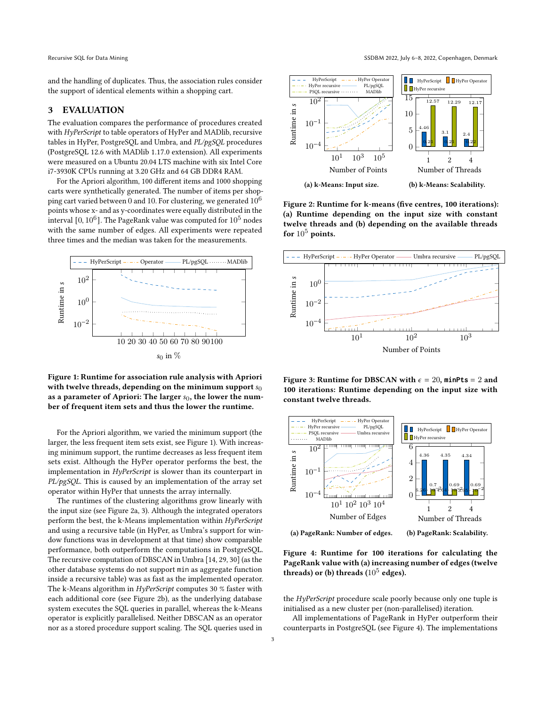and the handling of duplicates. Thus, the association rules consider the support of identical elements within a shopping cart.

# <span id="page-2-0"></span>3 EVALUATION

The evaluation compares the performance of procedures created with HyPerScript to table operators of HyPer and MADlib, recursive tables in HyPer, PostgreSQL and Umbra, and PL/pgSQL procedures (PostgreSQL 12.6 with MADlib 1.17.0 extension). All experiments were measured on a Ubuntu 20.04 LTS machine with six Intel Core i7-3930K CPUs running at 3.20 GHz and 64 GB DDR4 RAM.

For the Apriori algorithm, 100 different items and 1000 shopping carts were synthetically generated. The number of items per shopping cart varied between 0 and 10. For clustering, we generated  $10^6$ points whose x- and as y-coordinates were equally distributed in the interval [0,  $10^6$ ]. The PageRank value was computed for  $10^5$  nodes with the same number of edges. All experiments were repeated three times and the median was taken for the measurements.

<span id="page-2-1"></span>

Figure 1: Runtime for association rule analysis with Apriori with twelve threads, depending on the minimum support  $s_0$ as a parameter of Apriori: The larger  $s_0$ , the lower the number of frequent item sets and thus the lower the runtime.

For the Apriori algorithm, we varied the minimum support (the larger, the less frequent item sets exist, see [Figure 1\)](#page-2-1). With increasing minimum support, the runtime decreases as less frequent item sets exist. Although the HyPer operator performs the best, the implementation in HyPerScript is slower than its counterpart in PL/pgSQL. This is caused by an implementation of the array set operator within HyPer that unnests the array internally.

The runtimes of the clustering algorithms grow linearly with the input size (see [Figure 2a,](#page-2-2) [3\)](#page-2-3). Although the integrated operators perform the best, the k-Means implementation within HyPerScript and using a recursive table (in HyPer, as Umbra's support for window functions was in development at that time) show comparable performance, both outperform the computations in PostgreSQL. The recursive computation of DBSCAN in Umbra [\[14,](#page-3-37) [29,](#page-3-38) [30\]](#page-3-39) (as the other database systems do not support min as aggregate function inside a recursive table) was as fast as the implemented operator. The k-Means algorithm in HyPerScript computes 30 % faster with each additional core (see [Figure 2b\)](#page-2-2), as the underlying database system executes the SQL queries in parallel, whereas the k-Means operator is explicitly parallelised. Neither DBSCAN as an operator nor as a stored procedure support scaling. The SQL queries used in

<span id="page-2-2"></span>

Figure 2: Runtime for k-means (five centres, 100 iterations): [\(a\)](#page-2-2) Runtime depending on the input size with constant twelve threads and [\(b\)](#page-2-2) depending on the available threads for  $10^5$  points.

<span id="page-2-3"></span>

Figure 3: Runtime for DBSCAN with  $\epsilon = 20$ , minPts = 2 and 100 iterations: Runtime depending on the input size with constant twelve threads.

<span id="page-2-4"></span>

Figure 4: Runtime for 100 iterations for calculating the PageRank value with [\(a\)](#page-2-4) increasing number of edges (twelve threads) or [\(b\)](#page-2-4) threads  $(10^5 \text{ edges})$ .

the HyPerScript procedure scale poorly because only one tuple is initialised as a new cluster per (non-parallelised) iteration.

All implementations of PageRank in HyPer outperform their counterparts in PostgreSQL (see [Figure 4\)](#page-2-4). The implementations